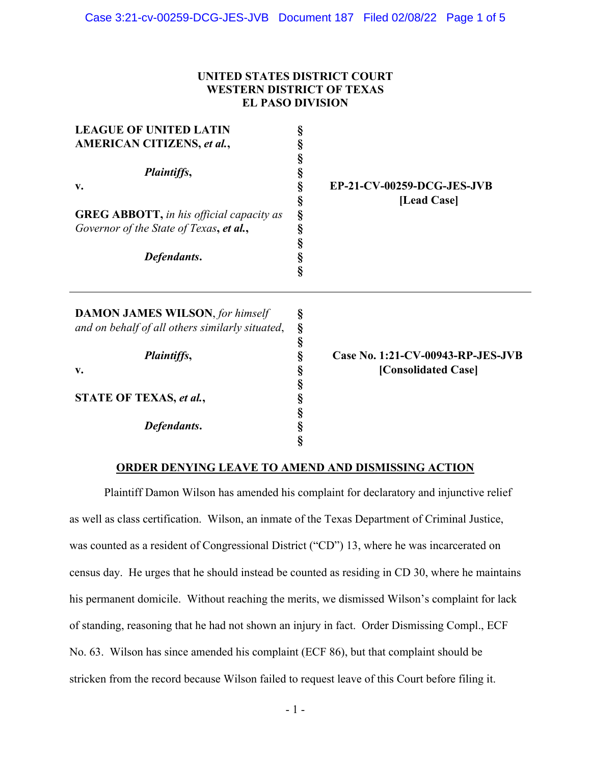# **UNITED STATES DISTRICT COURT WESTERN DISTRICT OF TEXAS EL PASO DIVISION**

| <b>LEAGUE OF UNITED LATIN</b><br><b>AMERICAN CITIZENS, et al.,</b><br>Plaintiffs,<br>v.<br><b>GREG ABBOTT, in his official capacity as</b><br>Governor of the State of Texas, et al.,<br>Defendants. | §<br>§<br>§<br>§<br>§<br>§<br>§<br>Ş<br>§<br>§<br>Ş | EP-21-CV-00259-DCG-JES-JVB<br>[Lead Case]                |
|------------------------------------------------------------------------------------------------------------------------------------------------------------------------------------------------------|-----------------------------------------------------|----------------------------------------------------------|
| <b>DAMON JAMES WILSON, for himself</b><br>and on behalf of all others similarly situated,<br><i>Plaintiffs,</i><br>v.<br>STATE OF TEXAS, et al.,<br>Defendants.                                      | §<br>§<br>§<br>§<br>§<br>§<br>§<br>§<br>§<br>ş      | Case No. 1:21-CV-00943-RP-JES-JVB<br>[Consolidated Case] |

## **ORDER DENYING LEAVE TO AMEND AND DISMISSING ACTION**

Plaintiff Damon Wilson has amended his complaint for declaratory and injunctive relief as well as class certification. Wilson, an inmate of the Texas Department of Criminal Justice, was counted as a resident of Congressional District ("CD") 13, where he was incarcerated on census day. He urges that he should instead be counted as residing in CD 30, where he maintains his permanent domicile. Without reaching the merits, we dismissed Wilson's complaint for lack of standing, reasoning that he had not shown an injury in fact. Order Dismissing Compl., ECF No. 63. Wilson has since amended his complaint (ECF 86), but that complaint should be stricken from the record because Wilson failed to request leave of this Court before filing it.

- 1 -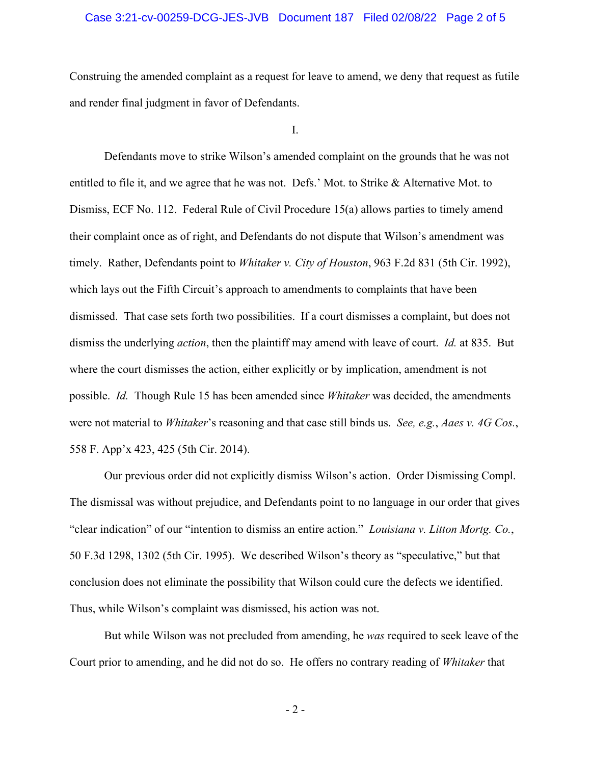### Case 3:21-cv-00259-DCG-JES-JVB Document 187 Filed 02/08/22 Page 2 of 5

Construing the amended complaint as a request for leave to amend, we deny that request as futile and render final judgment in favor of Defendants.

I.

Defendants move to strike Wilson's amended complaint on the grounds that he was not entitled to file it, and we agree that he was not. Defs.' Mot. to Strike & Alternative Mot. to Dismiss, ECF No. 112. Federal Rule of Civil Procedure 15(a) allows parties to timely amend their complaint once as of right, and Defendants do not dispute that Wilson's amendment was timely. Rather, Defendants point to *Whitaker v. City of Houston*, 963 F.2d 831 (5th Cir. 1992), which lays out the Fifth Circuit's approach to amendments to complaints that have been dismissed. That case sets forth two possibilities. If a court dismisses a complaint, but does not dismiss the underlying *action*, then the plaintiff may amend with leave of court. *Id.* at 835. But where the court dismisses the action, either explicitly or by implication, amendment is not possible. *Id.* Though Rule 15 has been amended since *Whitaker* was decided, the amendments were not material to *Whitaker*'s reasoning and that case still binds us. *See, e.g.*, *Aaes v. 4G Cos.*, 558 F. App'x 423, 425 (5th Cir. 2014).

Our previous order did not explicitly dismiss Wilson's action. Order Dismissing Compl. The dismissal was without prejudice, and Defendants point to no language in our order that gives "clear indication" of our "intention to dismiss an entire action." *Louisiana v. Litton Mortg. Co.*, 50 F.3d 1298, 1302 (5th Cir. 1995). We described Wilson's theory as "speculative," but that conclusion does not eliminate the possibility that Wilson could cure the defects we identified. Thus, while Wilson's complaint was dismissed, his action was not.

But while Wilson was not precluded from amending, he *was* required to seek leave of the Court prior to amending, and he did not do so. He offers no contrary reading of *Whitaker* that

- 2 -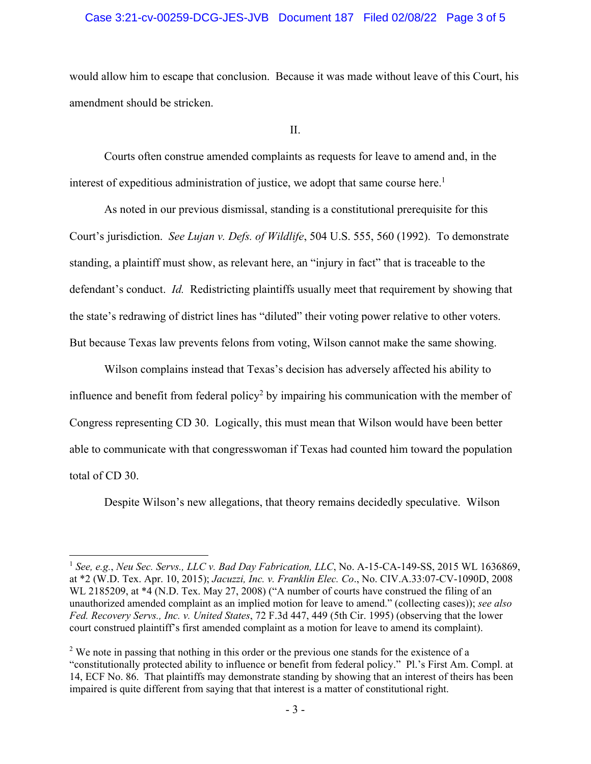### Case 3:21-cv-00259-DCG-JES-JVB Document 187 Filed 02/08/22 Page 3 of 5

would allow him to escape that conclusion. Because it was made without leave of this Court, his amendment should be stricken.

II.

 Courts often construe amended complaints as requests for leave to amend and, in the interest of expeditious administration of justice, we adopt that same course here.<sup>1</sup>

 As noted in our previous dismissal, standing is a constitutional prerequisite for this Court's jurisdiction. *See Lujan v. Defs. of Wildlife*, 504 U.S. 555, 560 (1992). To demonstrate standing, a plaintiff must show, as relevant here, an "injury in fact" that is traceable to the defendant's conduct. *Id.* Redistricting plaintiffs usually meet that requirement by showing that the state's redrawing of district lines has "diluted" their voting power relative to other voters. But because Texas law prevents felons from voting, Wilson cannot make the same showing.

 Wilson complains instead that Texas's decision has adversely affected his ability to influence and benefit from federal policy<sup>2</sup> by impairing his communication with the member of Congress representing CD 30. Logically, this must mean that Wilson would have been better able to communicate with that congresswoman if Texas had counted him toward the population total of CD 30.

Despite Wilson's new allegations, that theory remains decidedly speculative. Wilson

<sup>1</sup> *See, e.g.*, *Neu Sec. Servs., LLC v. Bad Day Fabrication, LLC*, No. A-15-CA-149-SS, 2015 WL 1636869, at \*2 (W.D. Tex. Apr. 10, 2015); *Jacuzzi, Inc. v. Franklin Elec. Co*., No. CIV.A.33:07-CV-1090D, 2008 WL 2185209, at \*4 (N.D. Tex. May 27, 2008) ("A number of courts have construed the filing of an unauthorized amended complaint as an implied motion for leave to amend." (collecting cases)); *see also Fed. Recovery Servs., Inc. v. United States*, 72 F.3d 447, 449 (5th Cir. 1995) (observing that the lower court construed plaintiff's first amended complaint as a motion for leave to amend its complaint).

 $2$  We note in passing that nothing in this order or the previous one stands for the existence of a "constitutionally protected ability to influence or benefit from federal policy." Pl.'s First Am. Compl. at 14, ECF No. 86. That plaintiffs may demonstrate standing by showing that an interest of theirs has been impaired is quite different from saying that that interest is a matter of constitutional right.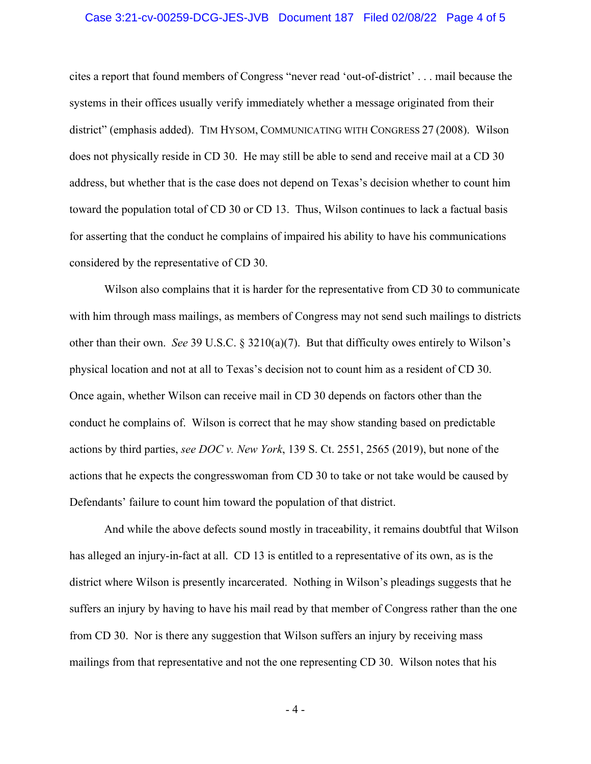#### Case 3:21-cv-00259-DCG-JES-JVB Document 187 Filed 02/08/22 Page 4 of 5

cites a report that found members of Congress "never read 'out-of-district' . . . mail because the systems in their offices usually verify immediately whether a message originated from their district" (emphasis added). TIM HYSOM, COMMUNICATING WITH CONGRESS 27 (2008). Wilson does not physically reside in CD 30. He may still be able to send and receive mail at a CD 30 address, but whether that is the case does not depend on Texas's decision whether to count him toward the population total of CD 30 or CD 13. Thus, Wilson continues to lack a factual basis for asserting that the conduct he complains of impaired his ability to have his communications considered by the representative of CD 30.

Wilson also complains that it is harder for the representative from CD 30 to communicate with him through mass mailings, as members of Congress may not send such mailings to districts other than their own. *See* 39 U.S.C. § 3210(a)(7). But that difficulty owes entirely to Wilson's physical location and not at all to Texas's decision not to count him as a resident of CD 30. Once again, whether Wilson can receive mail in CD 30 depends on factors other than the conduct he complains of. Wilson is correct that he may show standing based on predictable actions by third parties, *see DOC v. New York*, 139 S. Ct. 2551, 2565 (2019), but none of the actions that he expects the congresswoman from CD 30 to take or not take would be caused by Defendants' failure to count him toward the population of that district.

 And while the above defects sound mostly in traceability, it remains doubtful that Wilson has alleged an injury-in-fact at all. CD 13 is entitled to a representative of its own, as is the district where Wilson is presently incarcerated. Nothing in Wilson's pleadings suggests that he suffers an injury by having to have his mail read by that member of Congress rather than the one from CD 30. Nor is there any suggestion that Wilson suffers an injury by receiving mass mailings from that representative and not the one representing CD 30. Wilson notes that his

- 4 -